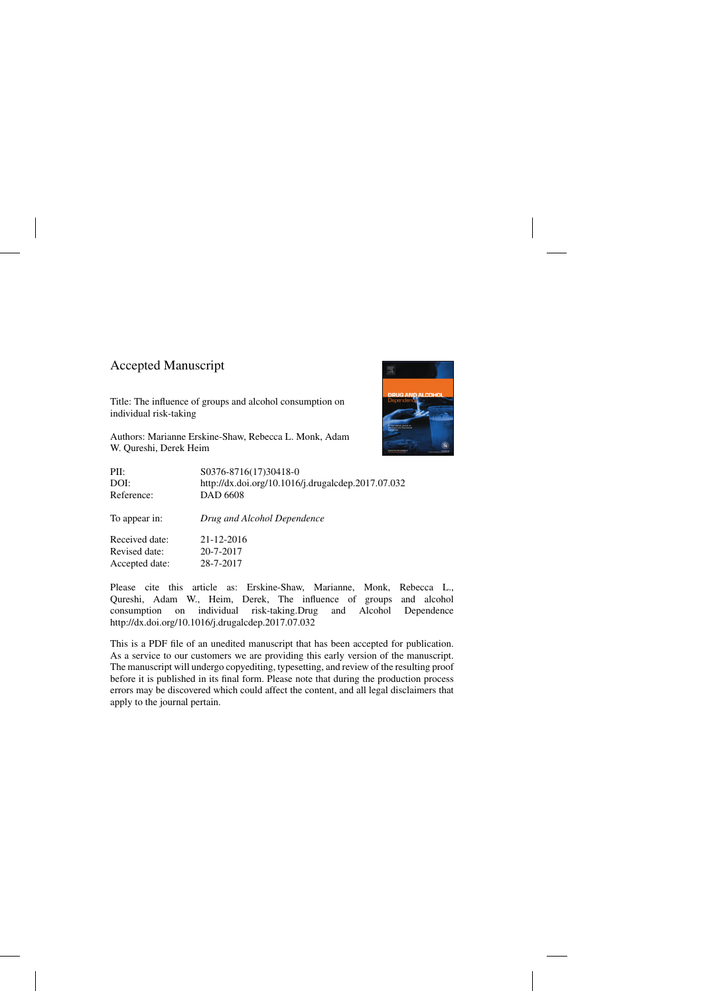### Accepted Manuscript

Title: The influence of groups and alcohol consumption on individual risk-taking

Authors: Marianne Erskine-Shaw, Rebecca L. Monk, Adam W. Qureshi, Derek Heim



| PII:           | S0376-8716(17)30418-0                              |
|----------------|----------------------------------------------------|
| DOI:           | http://dx.doi.org/10.1016/j.drugalcdep.2017.07.032 |
| Reference:     | <b>DAD 6608</b>                                    |
| To appear in:  | Drug and Alcohol Dependence                        |
| Received date: | 21-12-2016                                         |
| Revised date:  | 20-7-2017                                          |
| Accepted date: | 28-7-2017                                          |
|                |                                                    |

Please cite this article as: Erskine-Shaw, Marianne, Monk, Rebecca L., Qureshi, Adam W., Heim, Derek, The influence of groups and alcohol consumption on individual risk-taking.Drug and Alcohol Dependence <http://dx.doi.org/10.1016/j.drugalcdep.2017.07.032>

This is a PDF file of an unedited manuscript that has been accepted for publication. As a service to our customers we are providing this early version of the manuscript. The manuscript will undergo copyediting, typesetting, and review of the resulting proof before it is published in its final form. Please note that during the production process errors may be discovered which could affect the content, and all legal disclaimers that apply to the journal pertain.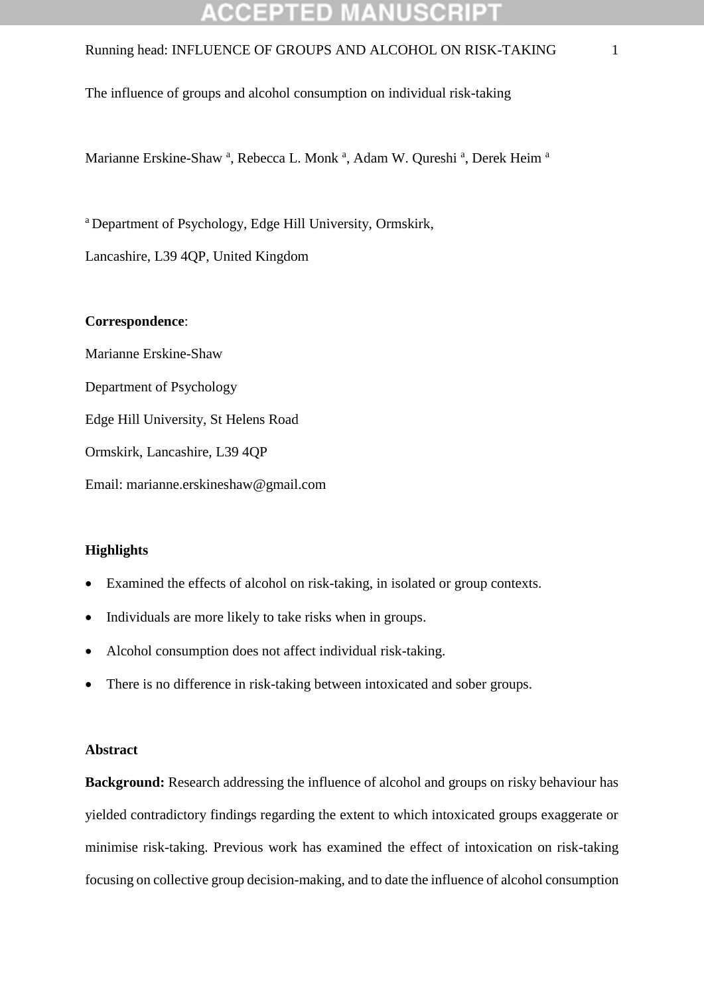# GEPTED

### Running head: INFLUENCE OF GROUPS AND ALCOHOL ON RISK-TAKING 1

The influence of groups and alcohol consumption on individual risk-taking

Marianne Erskine-Shaw<sup>a</sup>, Rebecca L. Monk<sup>a</sup>, Adam W. Qureshi<sup>a</sup>, Derek Heim<sup>a</sup>

<sup>a</sup> Department of Psychology, Edge Hill University, Ormskirk,

Lancashire, L39 4QP, United Kingdom

#### **Correspondence**:

Marianne Erskine-Shaw Department of Psychology Edge Hill University, St Helens Road Ormskirk, Lancashire, L39 4QP Email: marianne.erskineshaw@gmail.com

### **Highlights**

- Examined the effects of alcohol on risk-taking, in isolated or group contexts.
- Individuals are more likely to take risks when in groups.
- Alcohol consumption does not affect individual risk-taking.
- There is no difference in risk-taking between intoxicated and sober groups.

#### **Abstract**

**Background:** Research addressing the influence of alcohol and groups on risky behaviour has yielded contradictory findings regarding the extent to which intoxicated groups exaggerate or minimise risk-taking. Previous work has examined the effect of intoxication on risk-taking focusing on collective group decision-making, and to date the influence of alcohol consumption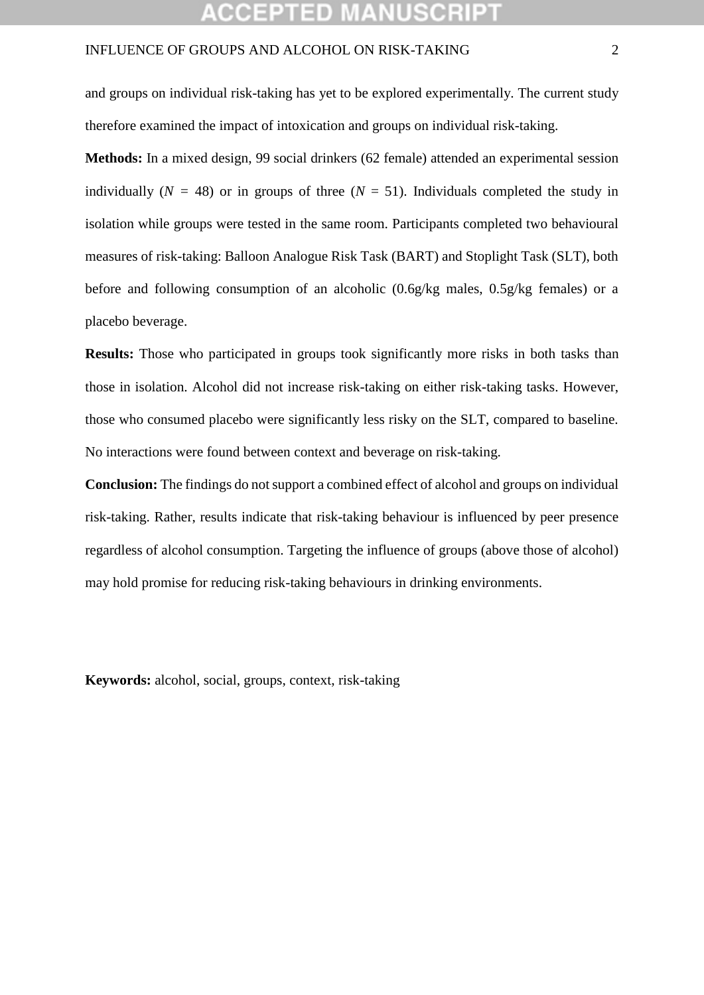and groups on individual risk-taking has yet to be explored experimentally. The current study therefore examined the impact of intoxication and groups on individual risk-taking.

**Methods:** In a mixed design, 99 social drinkers (62 female) attended an experimental session individually ( $N = 48$ ) or in groups of three ( $N = 51$ ). Individuals completed the study in isolation while groups were tested in the same room. Participants completed two behavioural measures of risk-taking: Balloon Analogue Risk Task (BART) and Stoplight Task (SLT), both before and following consumption of an alcoholic (0.6g/kg males, 0.5g/kg females) or a placebo beverage.

**Results:** Those who participated in groups took significantly more risks in both tasks than those in isolation. Alcohol did not increase risk-taking on either risk-taking tasks. However, those who consumed placebo were significantly less risky on the SLT, compared to baseline. No interactions were found between context and beverage on risk-taking.

**Conclusion:** The findings do not support a combined effect of alcohol and groups on individual risk-taking. Rather, results indicate that risk-taking behaviour is influenced by peer presence regardless of alcohol consumption. Targeting the influence of groups (above those of alcohol) may hold promise for reducing risk-taking behaviours in drinking environments.

**Keywords:** alcohol, social, groups, context, risk-taking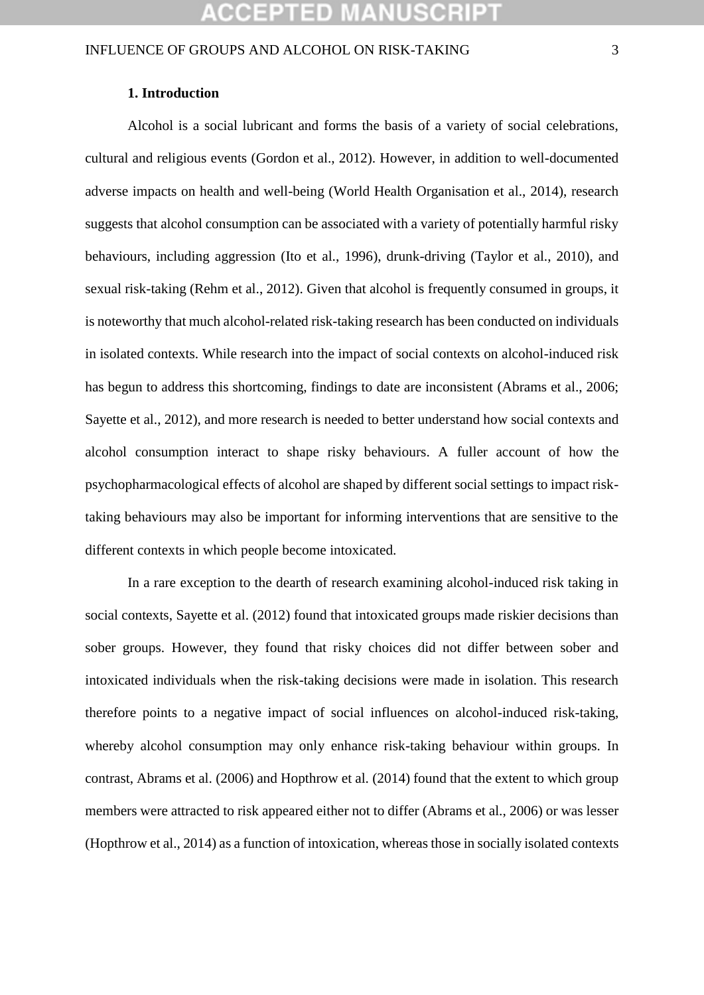#### **1. Introduction**

Alcohol is a social lubricant and forms the basis of a variety of social celebrations, cultural and religious events (Gordon et al., 2012). However, in addition to well-documented adverse impacts on health and well-being (World Health Organisation et al., 2014), research suggests that alcohol consumption can be associated with a variety of potentially harmful risky behaviours, including aggression (Ito et al., 1996), drunk-driving (Taylor et al., 2010), and sexual risk-taking (Rehm et al., 2012). Given that alcohol is frequently consumed in groups, it is noteworthy that much alcohol-related risk-taking research has been conducted on individuals in isolated contexts. While research into the impact of social contexts on alcohol-induced risk has begun to address this shortcoming, findings to date are inconsistent (Abrams et al., 2006; Sayette et al., 2012), and more research is needed to better understand how social contexts and alcohol consumption interact to shape risky behaviours. A fuller account of how the psychopharmacological effects of alcohol are shaped by different social settings to impact risktaking behaviours may also be important for informing interventions that are sensitive to the different contexts in which people become intoxicated.

In a rare exception to the dearth of research examining alcohol-induced risk taking in social contexts, Sayette et al. (2012) found that intoxicated groups made riskier decisions than sober groups. However, they found that risky choices did not differ between sober and intoxicated individuals when the risk-taking decisions were made in isolation. This research therefore points to a negative impact of social influences on alcohol-induced risk-taking, whereby alcohol consumption may only enhance risk-taking behaviour within groups. In contrast, Abrams et al. (2006) and Hopthrow et al. (2014) found that the extent to which group members were attracted to risk appeared either not to differ (Abrams et al., 2006) or was lesser (Hopthrow et al., 2014) as a function of intoxication, whereas those in socially isolated contexts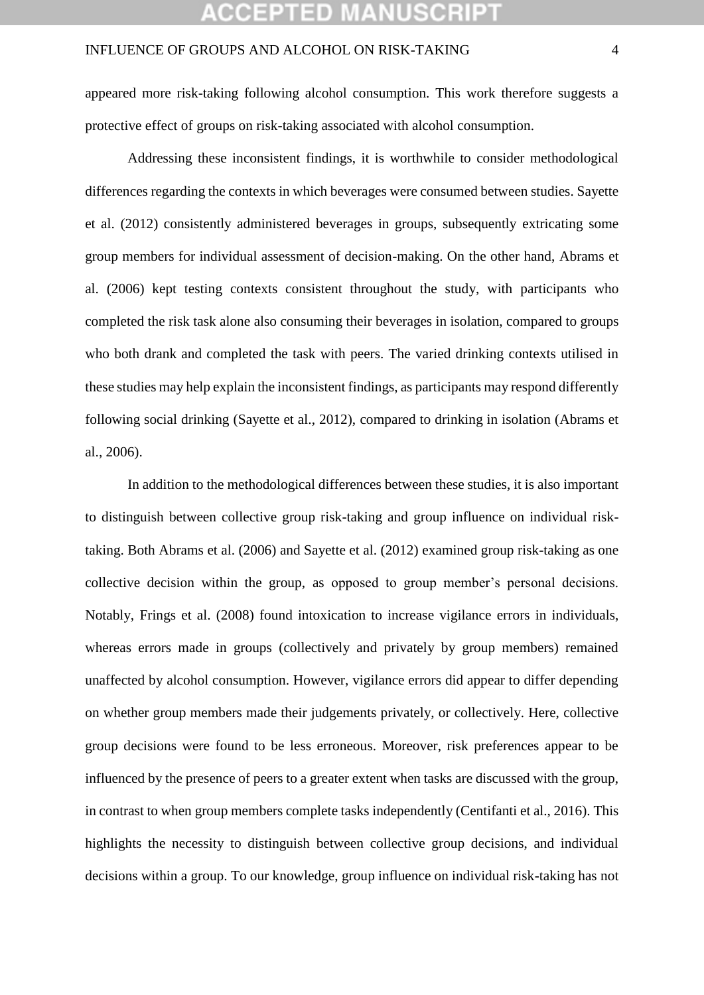### 'CEPTED M

### INFLUENCE OF GROUPS AND ALCOHOL ON RISK-TAKING 4

appeared more risk-taking following alcohol consumption. This work therefore suggests a protective effect of groups on risk-taking associated with alcohol consumption.

Addressing these inconsistent findings, it is worthwhile to consider methodological differences regarding the contexts in which beverages were consumed between studies. Sayette et al. (2012) consistently administered beverages in groups, subsequently extricating some group members for individual assessment of decision-making. On the other hand, Abrams et al. (2006) kept testing contexts consistent throughout the study, with participants who completed the risk task alone also consuming their beverages in isolation, compared to groups who both drank and completed the task with peers. The varied drinking contexts utilised in these studies may help explain the inconsistent findings, as participants may respond differently following social drinking (Sayette et al., 2012), compared to drinking in isolation (Abrams et al., 2006).

In addition to the methodological differences between these studies, it is also important to distinguish between collective group risk-taking and group influence on individual risktaking. Both Abrams et al. (2006) and Sayette et al. (2012) examined group risk-taking as one collective decision within the group, as opposed to group member's personal decisions. Notably, Frings et al. (2008) found intoxication to increase vigilance errors in individuals, whereas errors made in groups (collectively and privately by group members) remained unaffected by alcohol consumption. However, vigilance errors did appear to differ depending on whether group members made their judgements privately, or collectively. Here, collective group decisions were found to be less erroneous. Moreover, risk preferences appear to be influenced by the presence of peers to a greater extent when tasks are discussed with the group, in contrast to when group members complete tasks independently (Centifanti et al., 2016). This highlights the necessity to distinguish between collective group decisions, and individual decisions within a group. To our knowledge, group influence on individual risk-taking has not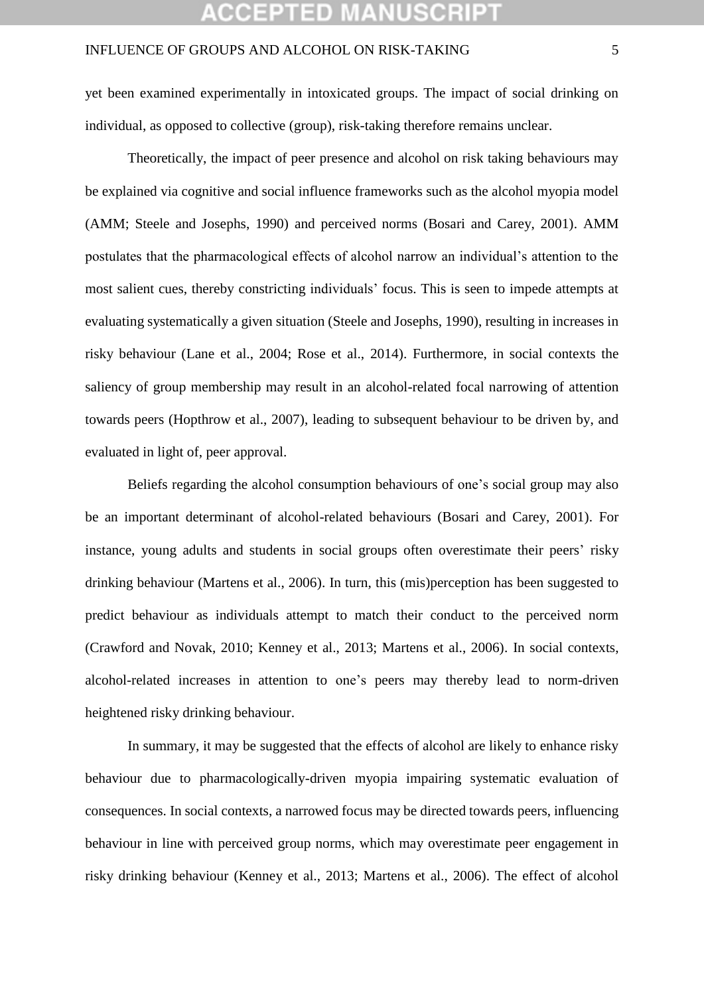### **:CEPTED MANUSCR**

### INFLUENCE OF GROUPS AND ALCOHOL ON RISK-TAKING 5

yet been examined experimentally in intoxicated groups. The impact of social drinking on individual, as opposed to collective (group), risk-taking therefore remains unclear.

Theoretically, the impact of peer presence and alcohol on risk taking behaviours may be explained via cognitive and social influence frameworks such as the alcohol myopia model (AMM; Steele and Josephs, 1990) and perceived norms (Bosari and Carey, 2001). AMM postulates that the pharmacological effects of alcohol narrow an individual's attention to the most salient cues, thereby constricting individuals' focus. This is seen to impede attempts at evaluating systematically a given situation (Steele and Josephs, 1990), resulting in increases in risky behaviour (Lane et al., 2004; Rose et al., 2014). Furthermore, in social contexts the saliency of group membership may result in an alcohol-related focal narrowing of attention towards peers (Hopthrow et al., 2007), leading to subsequent behaviour to be driven by, and evaluated in light of, peer approval.

Beliefs regarding the alcohol consumption behaviours of one's social group may also be an important determinant of alcohol-related behaviours (Bosari and Carey, 2001). For instance, young adults and students in social groups often overestimate their peers' risky drinking behaviour (Martens et al., 2006). In turn, this (mis)perception has been suggested to predict behaviour as individuals attempt to match their conduct to the perceived norm (Crawford and Novak, 2010; Kenney et al., 2013; Martens et al., 2006). In social contexts, alcohol-related increases in attention to one's peers may thereby lead to norm-driven heightened risky drinking behaviour.

In summary, it may be suggested that the effects of alcohol are likely to enhance risky behaviour due to pharmacologically-driven myopia impairing systematic evaluation of consequences. In social contexts, a narrowed focus may be directed towards peers, influencing behaviour in line with perceived group norms, which may overestimate peer engagement in risky drinking behaviour (Kenney et al., 2013; Martens et al., 2006). The effect of alcohol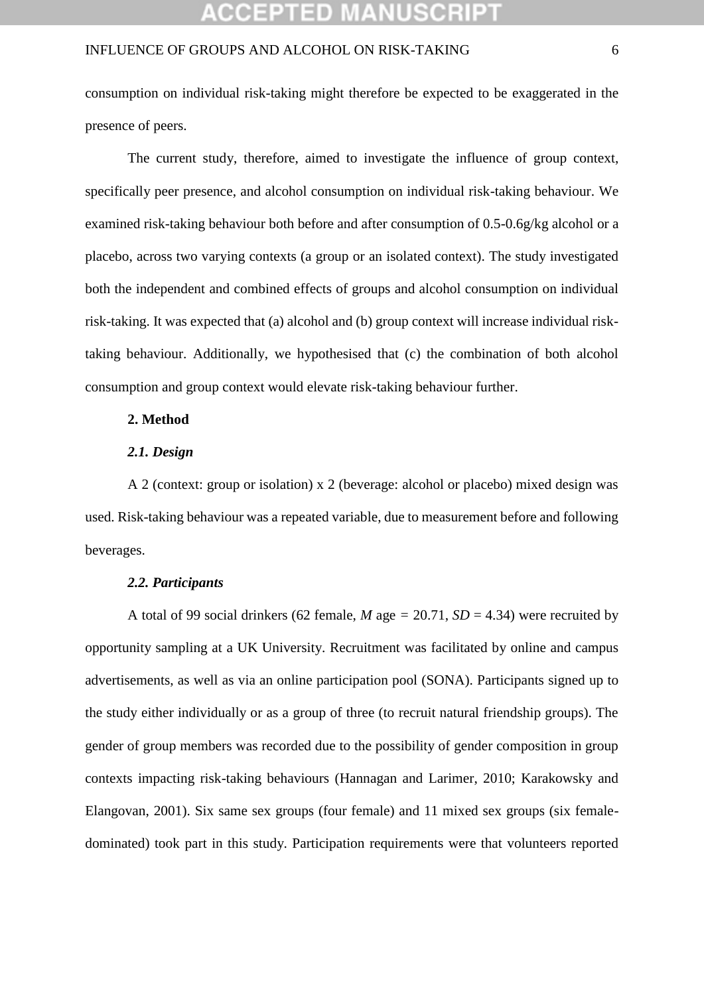## :CEPTED M

### INFLUENCE OF GROUPS AND ALCOHOL ON RISK-TAKING 6

consumption on individual risk-taking might therefore be expected to be exaggerated in the presence of peers.

The current study, therefore, aimed to investigate the influence of group context, specifically peer presence, and alcohol consumption on individual risk-taking behaviour. We examined risk-taking behaviour both before and after consumption of 0.5-0.6g/kg alcohol or a placebo, across two varying contexts (a group or an isolated context). The study investigated both the independent and combined effects of groups and alcohol consumption on individual risk-taking. It was expected that (a) alcohol and (b) group context will increase individual risktaking behaviour. Additionally, we hypothesised that (c) the combination of both alcohol consumption and group context would elevate risk-taking behaviour further.

### **2. Method**

### *2.1. Design*

A 2 (context: group or isolation) x 2 (beverage: alcohol or placebo) mixed design was used. Risk-taking behaviour was a repeated variable, due to measurement before and following beverages.

#### *2.2. Participants*

A total of 99 social drinkers (62 female, *M* age = 20.71,  $SD = 4.34$ ) were recruited by opportunity sampling at a UK University. Recruitment was facilitated by online and campus advertisements, as well as via an online participation pool (SONA). Participants signed up to the study either individually or as a group of three (to recruit natural friendship groups). The gender of group members was recorded due to the possibility of gender composition in group contexts impacting risk-taking behaviours (Hannagan and Larimer, 2010; Karakowsky and Elangovan, 2001). Six same sex groups (four female) and 11 mixed sex groups (six femaledominated) took part in this study. Participation requirements were that volunteers reported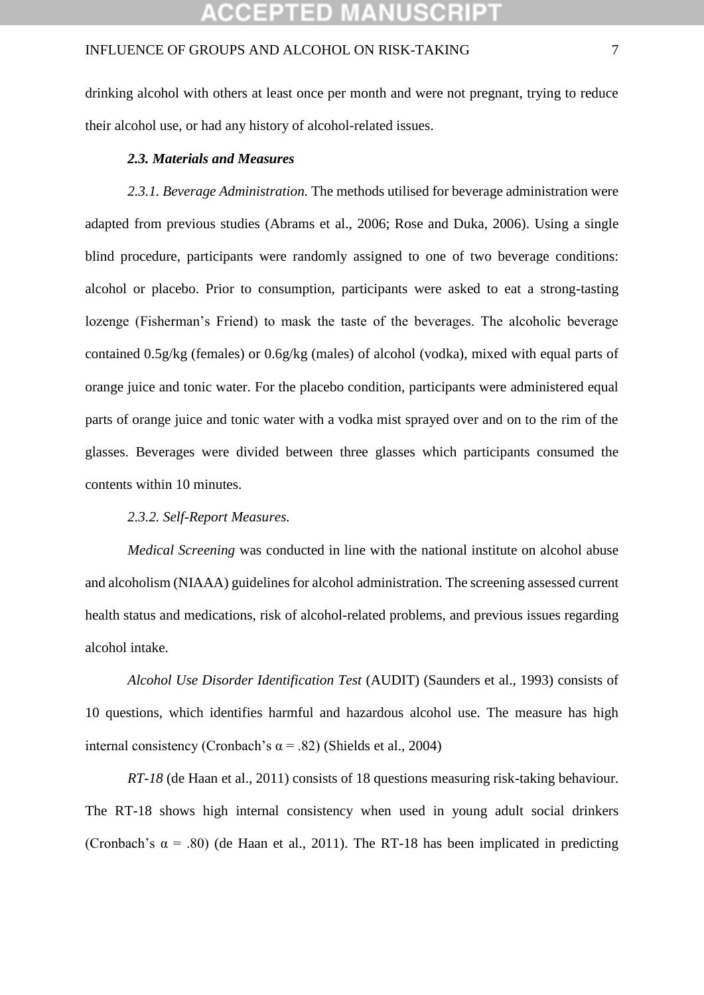drinking alcohol with others at least once per month and were not pregnant, trying to reduce their alcohol use, or had any history of alcohol-related issues.

#### *2.3. Materials and Measures*

*2.3.1. Beverage Administration.* The methods utilised for beverage administration were adapted from previous studies (Abrams et al., 2006; Rose and Duka, 2006). Using a single blind procedure, participants were randomly assigned to one of two beverage conditions: alcohol or placebo. Prior to consumption, participants were asked to eat a strong-tasting lozenge (Fisherman's Friend) to mask the taste of the beverages. The alcoholic beverage contained 0.5g/kg (females) or 0.6g/kg (males) of alcohol (vodka), mixed with equal parts of orange juice and tonic water. For the placebo condition, participants were administered equal parts of orange juice and tonic water with a vodka mist sprayed over and on to the rim of the glasses. Beverages were divided between three glasses which participants consumed the contents within 10 minutes.

### *2.3.2. Self-Report Measures.*

*Medical Screening* was conducted in line with the national institute on alcohol abuse and alcoholism (NIAAA) guidelines for alcohol administration. The screening assessed current health status and medications, risk of alcohol-related problems, and previous issues regarding alcohol intake.

*Alcohol Use Disorder Identification Test* (AUDIT) (Saunders et al., 1993) consists of 10 questions, which identifies harmful and hazardous alcohol use. The measure has high internal consistency (Cronbach's  $\alpha$  = .82) (Shields et al., 2004)

*RT-18* (de Haan et al., 2011) consists of 18 questions measuring risk-taking behaviour. The RT-18 shows high internal consistency when used in young adult social drinkers (Cronbach's  $\alpha$  = .80) (de Haan et al., 2011). The RT-18 has been implicated in predicting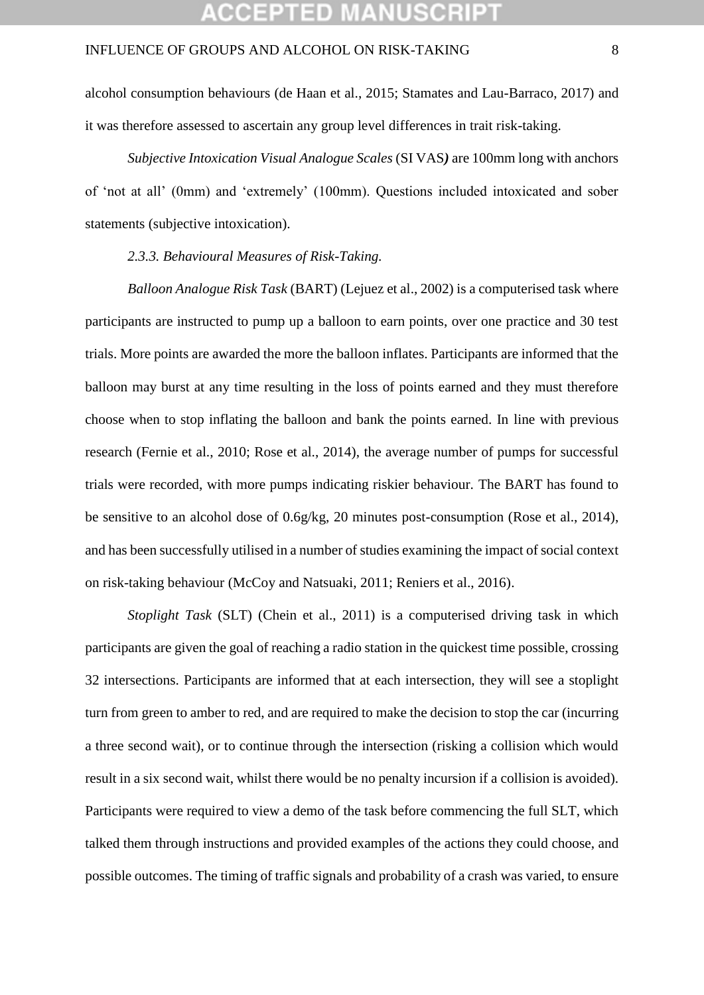### **:CEPTED MANUSCR**

### INFLUENCE OF GROUPS AND ALCOHOL ON RISK-TAKING 8

alcohol consumption behaviours (de Haan et al., 2015; Stamates and Lau-Barraco, 2017) and it was therefore assessed to ascertain any group level differences in trait risk-taking.

*Subjective Intoxication Visual Analogue Scales* (SI VAS*)* are 100mm long with anchors of 'not at all' (0mm) and 'extremely' (100mm). Questions included intoxicated and sober statements (subjective intoxication).

*2.3.3. Behavioural Measures of Risk-Taking.*

*Balloon Analogue Risk Task* (BART) (Lejuez et al., 2002) is a computerised task where participants are instructed to pump up a balloon to earn points, over one practice and 30 test trials. More points are awarded the more the balloon inflates. Participants are informed that the balloon may burst at any time resulting in the loss of points earned and they must therefore choose when to stop inflating the balloon and bank the points earned. In line with previous research (Fernie et al., 2010; Rose et al., 2014), the average number of pumps for successful trials were recorded, with more pumps indicating riskier behaviour. The BART has found to be sensitive to an alcohol dose of 0.6g/kg, 20 minutes post-consumption (Rose et al., 2014), and has been successfully utilised in a number of studies examining the impact of social context on risk-taking behaviour (McCoy and Natsuaki, 2011; Reniers et al., 2016).

*Stoplight Task* (SLT) (Chein et al., 2011) is a computerised driving task in which participants are given the goal of reaching a radio station in the quickest time possible, crossing 32 intersections. Participants are informed that at each intersection, they will see a stoplight turn from green to amber to red, and are required to make the decision to stop the car (incurring a three second wait), or to continue through the intersection (risking a collision which would result in a six second wait, whilst there would be no penalty incursion if a collision is avoided). Participants were required to view a demo of the task before commencing the full SLT, which talked them through instructions and provided examples of the actions they could choose, and possible outcomes. The timing of traffic signals and probability of a crash was varied, to ensure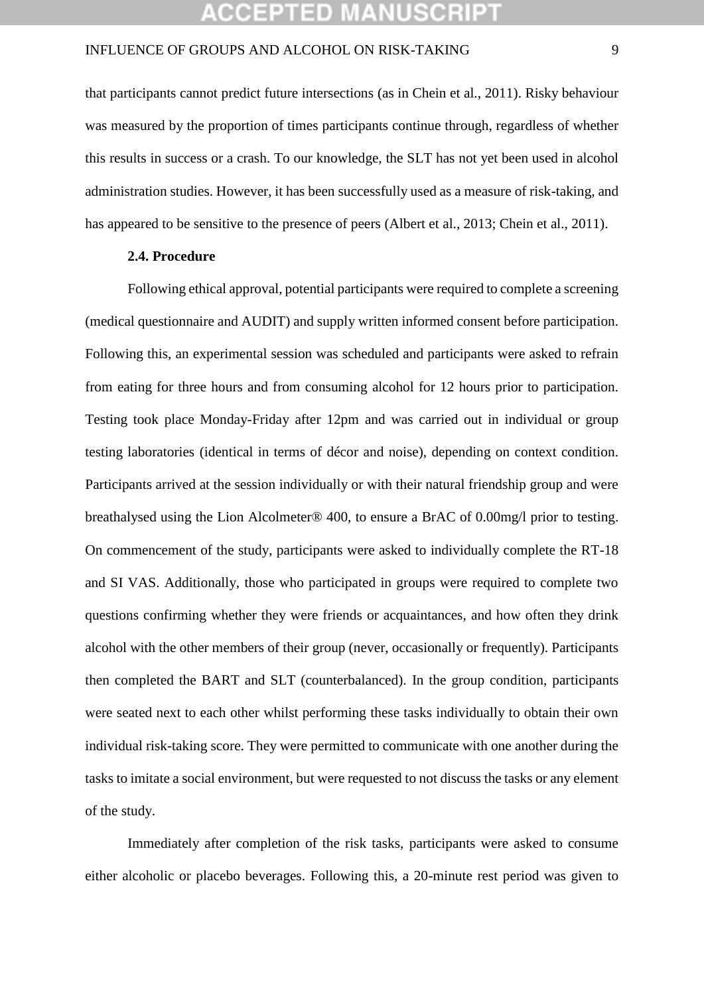that participants cannot predict future intersections (as in Chein et al., 2011). Risky behaviour was measured by the proportion of times participants continue through, regardless of whether this results in success or a crash. To our knowledge, the SLT has not yet been used in alcohol administration studies. However, it has been successfully used as a measure of risk-taking, and has appeared to be sensitive to the presence of peers (Albert et al., 2013; Chein et al., 2011).

### **2.4. Procedure**

Following ethical approval, potential participants were required to complete a screening (medical questionnaire and AUDIT) and supply written informed consent before participation. Following this, an experimental session was scheduled and participants were asked to refrain from eating for three hours and from consuming alcohol for 12 hours prior to participation. Testing took place Monday-Friday after 12pm and was carried out in individual or group testing laboratories (identical in terms of décor and noise), depending on context condition. Participants arrived at the session individually or with their natural friendship group and were breathalysed using the Lion Alcolmeter® 400, to ensure a BrAC of 0.00mg/l prior to testing. On commencement of the study, participants were asked to individually complete the RT-18 and SI VAS. Additionally, those who participated in groups were required to complete two questions confirming whether they were friends or acquaintances, and how often they drink alcohol with the other members of their group (never, occasionally or frequently). Participants then completed the BART and SLT (counterbalanced). In the group condition, participants were seated next to each other whilst performing these tasks individually to obtain their own individual risk-taking score. They were permitted to communicate with one another during the tasks to imitate a social environment, but were requested to not discuss the tasks or any element of the study.

Immediately after completion of the risk tasks, participants were asked to consume either alcoholic or placebo beverages. Following this, a 20-minute rest period was given to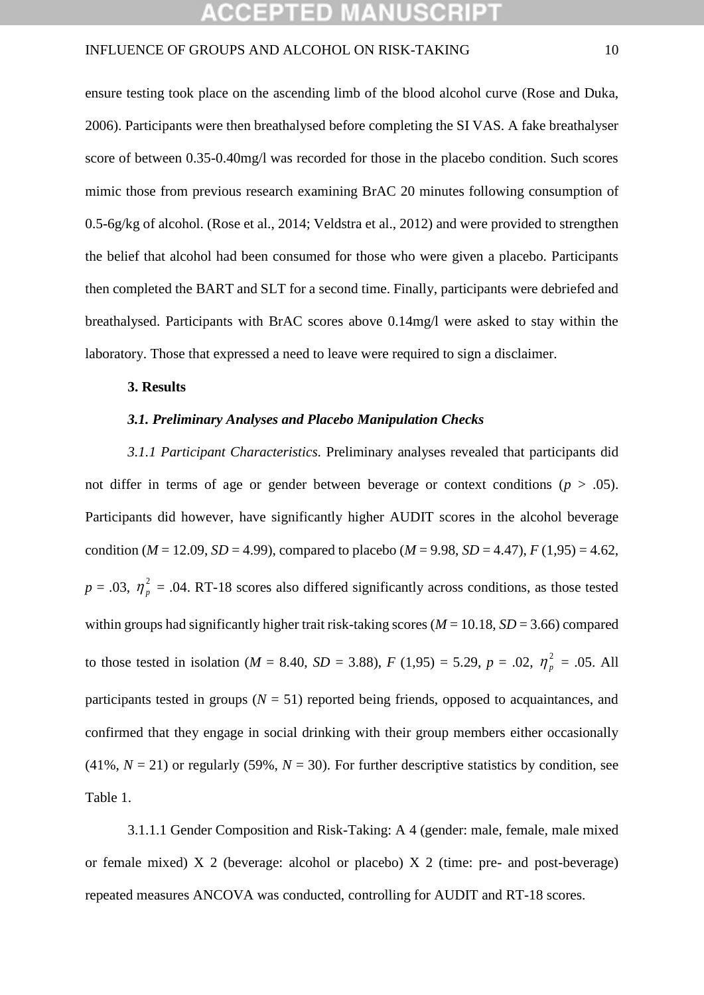ensure testing took place on the ascending limb of the blood alcohol curve (Rose and Duka, 2006). Participants were then breathalysed before completing the SI VAS. A fake breathalyser score of between 0.35-0.40mg/l was recorded for those in the placebo condition. Such scores mimic those from previous research examining BrAC 20 minutes following consumption of 0.5-6g/kg of alcohol. (Rose et al., 2014; Veldstra et al., 2012) and were provided to strengthen the belief that alcohol had been consumed for those who were given a placebo. Participants then completed the BART and SLT for a second time. Finally, participants were debriefed and breathalysed. Participants with BrAC scores above 0.14mg/l were asked to stay within the laboratory. Those that expressed a need to leave were required to sign a disclaimer.

#### **3. Results**

### *3.1. Preliminary Analyses and Placebo Manipulation Checks*

*3.1.1 Participant Characteristics.* Preliminary analyses revealed that participants did not differ in terms of age or gender between beverage or context conditions ( $p > .05$ ). Participants did however, have significantly higher AUDIT scores in the alcohol beverage condition ( $M = 12.09$ ,  $SD = 4.99$ ), compared to placebo ( $M = 9.98$ ,  $SD = 4.47$ ),  $F(1.95) = 4.62$ ,  $p = .03$ ,  $\eta_p^2 = .04$ . RT-18 scores also differed significantly across conditions, as those tested within groups had significantly higher trait risk-taking scores ( $M = 10.18$ ,  $SD = 3.66$ ) compared to those tested in isolation (*M* = 8.40, *SD* = 3.88), *F* (1,95) = 5.29, *p* = .02,  $\eta_p^2$  = .05. All participants tested in groups ( $N = 51$ ) reported being friends, opposed to acquaintances, and confirmed that they engage in social drinking with their group members either occasionally (41%,  $N = 21$ ) or regularly (59%,  $N = 30$ ). For further descriptive statistics by condition, see Table 1.

3.1.1.1 Gender Composition and Risk-Taking: A 4 (gender: male, female, male mixed or female mixed) X 2 (beverage: alcohol or placebo) X 2 (time: pre- and post-beverage) repeated measures ANCOVA was conducted, controlling for AUDIT and RT-18 scores.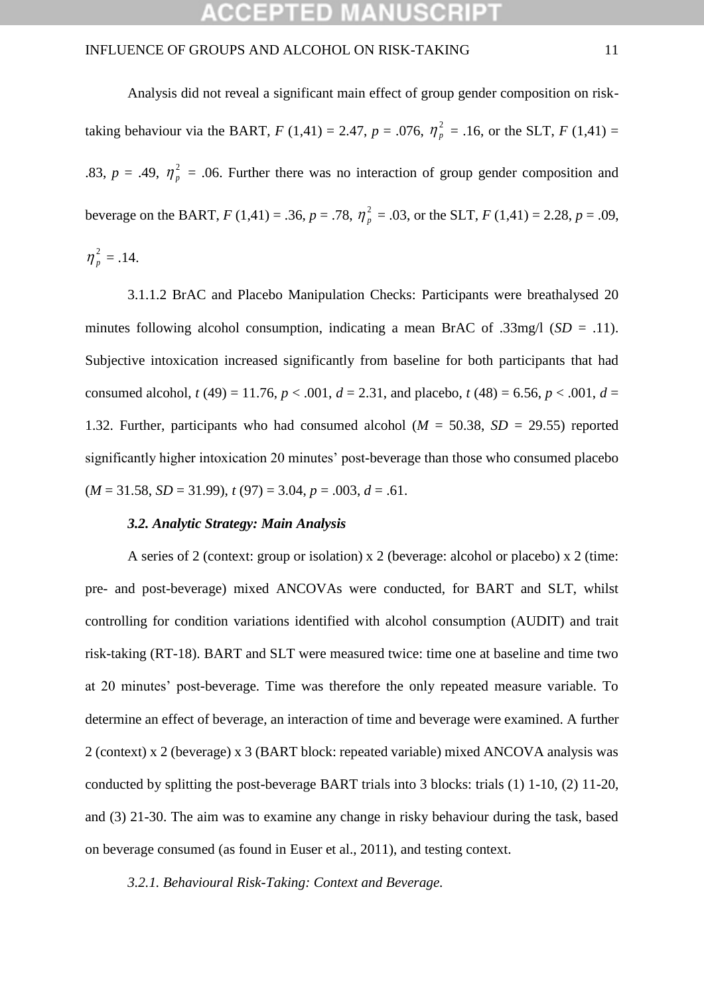Analysis did not reveal a significant main effect of group gender composition on risktaking behaviour via the BART,  $F(1,41) = 2.47$ ,  $p = .076$ ,  $\eta_p^2 = .16$ , or the SLT,  $F(1,41) =$ .83,  $p = .49$ ,  $\eta_p^2 = .06$ . Further there was no interaction of group gender composition and beverage on the BART,  $F(1,41) = .36$ ,  $p = .78$ ,  $\eta_p^2 = .03$ , or the SLT,  $F(1,41) = 2.28$ ,  $p = .09$ ,  $\eta_p^2 = .14$ .

3.1.1.2 BrAC and Placebo Manipulation Checks: Participants were breathalysed 20 minutes following alcohol consumption, indicating a mean BrAC of .33mg/l (*SD* = .11). Subjective intoxication increased significantly from baseline for both participants that had consumed alcohol,  $t(49) = 11.76$ ,  $p < .001$ ,  $d = 2.31$ , and placebo,  $t(48) = 6.56$ ,  $p < .001$ ,  $d =$ 1.32. Further, participants who had consumed alcohol ( $M = 50.38$ ,  $SD = 29.55$ ) reported significantly higher intoxication 20 minutes' post-beverage than those who consumed placebo  $(M = 31.58, SD = 31.99), t(97) = 3.04, p = .003, d = .61.$ 

### *3.2. Analytic Strategy: Main Analysis*

A series of 2 (context: group or isolation) x 2 (beverage: alcohol or placebo) x 2 (time: pre- and post-beverage) mixed ANCOVAs were conducted, for BART and SLT, whilst controlling for condition variations identified with alcohol consumption (AUDIT) and trait risk-taking (RT-18). BART and SLT were measured twice: time one at baseline and time two at 20 minutes' post-beverage. Time was therefore the only repeated measure variable. To determine an effect of beverage, an interaction of time and beverage were examined. A further 2 (context) x 2 (beverage) x 3 (BART block: repeated variable) mixed ANCOVA analysis was conducted by splitting the post-beverage BART trials into 3 blocks: trials (1) 1-10, (2) 11-20, and (3) 21-30. The aim was to examine any change in risky behaviour during the task, based on beverage consumed (as found in Euser et al., 2011), and testing context.

### *3.2.1. Behavioural Risk-Taking: Context and Beverage.*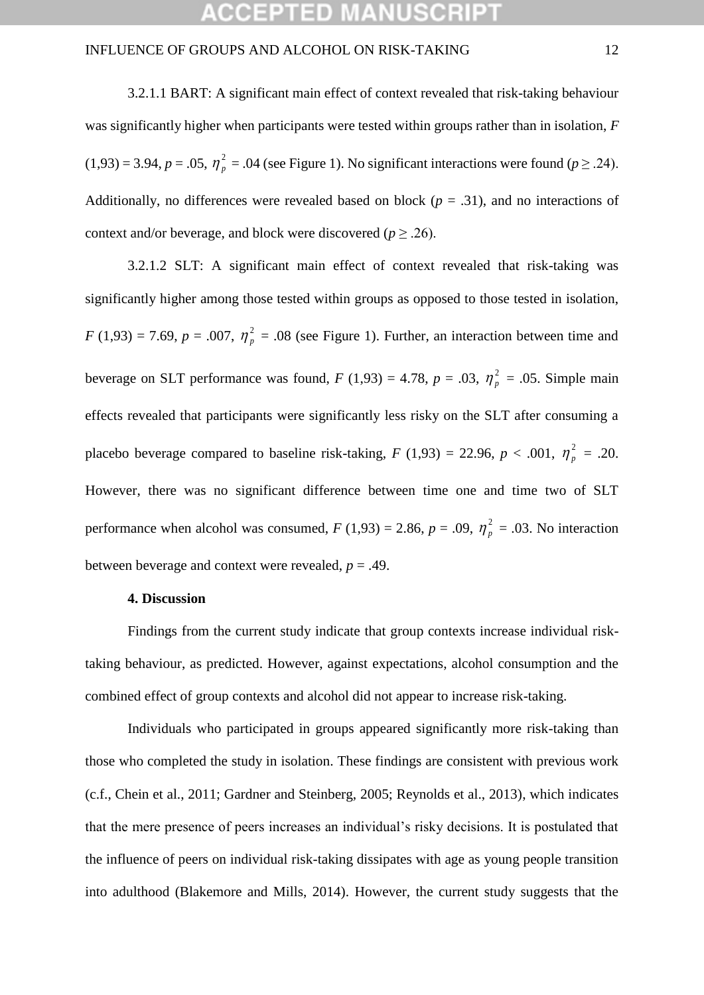3.2.1.1 BART: A significant main effect of context revealed that risk-taking behaviour was significantly higher when participants were tested within groups rather than in isolation, *F*  $(1,93) = 3.94$ ,  $p = .05$ ,  $\eta_p^2 = .04$  (see Figure 1). No significant interactions were found ( $p \ge .24$ ). Additionally, no differences were revealed based on block ( $p = .31$ ), and no interactions of context and/or beverage, and block were discovered ( $p \ge 0.26$ ).

3.2.1.2 SLT: A significant main effect of context revealed that risk-taking was significantly higher among those tested within groups as opposed to those tested in isolation,  $F(1,93) = 7.69$ ,  $p = .007$ ,  $\eta_p^2 = .08$  (see Figure 1). Further, an interaction between time and beverage on SLT performance was found,  $F(1,93) = 4.78$ ,  $p = .03$ ,  $\eta_p^2 = .05$ . Simple main effects revealed that participants were significantly less risky on the SLT after consuming a placebo beverage compared to baseline risk-taking,  $F(1,93) = 22.96$ ,  $p < .001$ ,  $\eta_p^2 = .20$ . However, there was no significant difference between time one and time two of SLT performance when alcohol was consumed,  $F(1,93) = 2.86$ ,  $p = .09$ ,  $\eta_p^2 = .03$ . No interaction between beverage and context were revealed,  $p = .49$ .

#### **4. Discussion**

Findings from the current study indicate that group contexts increase individual risktaking behaviour, as predicted. However, against expectations, alcohol consumption and the combined effect of group contexts and alcohol did not appear to increase risk-taking.

Individuals who participated in groups appeared significantly more risk-taking than those who completed the study in isolation. These findings are consistent with previous work (c.f., Chein et al., 2011; Gardner and Steinberg, 2005; Reynolds et al., 2013), which indicates that the mere presence of peers increases an individual's risky decisions. It is postulated that the influence of peers on individual risk-taking dissipates with age as young people transition into adulthood (Blakemore and Mills, 2014). However, the current study suggests that the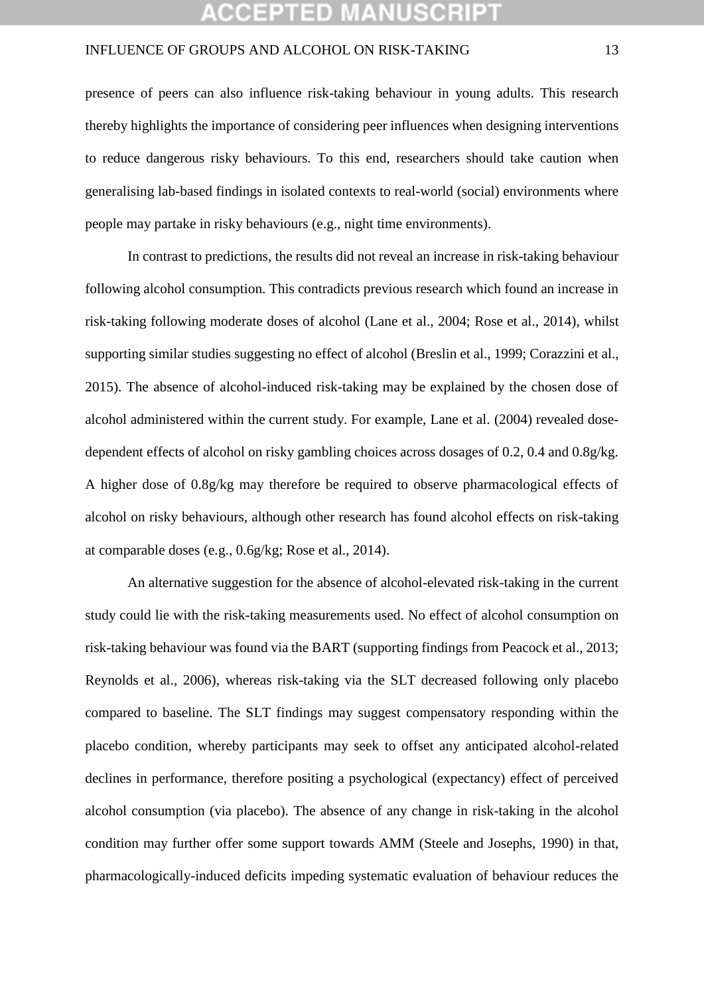## :CEPTED MANUSCR

### INFLUENCE OF GROUPS AND ALCOHOL ON RISK-TAKING 13

presence of peers can also influence risk-taking behaviour in young adults. This research thereby highlights the importance of considering peer influences when designing interventions to reduce dangerous risky behaviours. To this end, researchers should take caution when generalising lab-based findings in isolated contexts to real-world (social) environments where people may partake in risky behaviours (e.g., night time environments).

In contrast to predictions, the results did not reveal an increase in risk-taking behaviour following alcohol consumption. This contradicts previous research which found an increase in risk-taking following moderate doses of alcohol (Lane et al., 2004; Rose et al., 2014), whilst supporting similar studies suggesting no effect of alcohol (Breslin et al., 1999; Corazzini et al., 2015). The absence of alcohol-induced risk-taking may be explained by the chosen dose of alcohol administered within the current study. For example, Lane et al. (2004) revealed dosedependent effects of alcohol on risky gambling choices across dosages of 0.2, 0.4 and 0.8g/kg. A higher dose of 0.8g/kg may therefore be required to observe pharmacological effects of alcohol on risky behaviours, although other research has found alcohol effects on risk-taking at comparable doses (e.g., 0.6g/kg; Rose et al., 2014).

An alternative suggestion for the absence of alcohol-elevated risk-taking in the current study could lie with the risk-taking measurements used. No effect of alcohol consumption on risk-taking behaviour was found via the BART (supporting findings from Peacock et al., 2013; Reynolds et al., 2006), whereas risk-taking via the SLT decreased following only placebo compared to baseline. The SLT findings may suggest compensatory responding within the placebo condition, whereby participants may seek to offset any anticipated alcohol-related declines in performance, therefore positing a psychological (expectancy) effect of perceived alcohol consumption (via placebo). The absence of any change in risk-taking in the alcohol condition may further offer some support towards AMM (Steele and Josephs, 1990) in that, pharmacologically-induced deficits impeding systematic evaluation of behaviour reduces the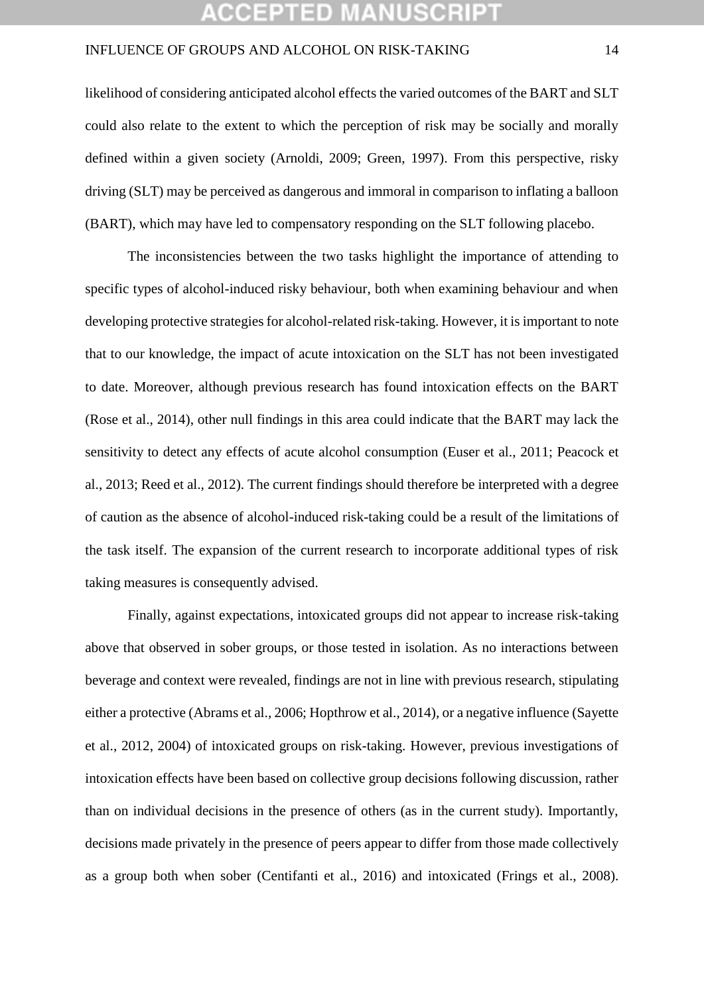## CEPTED M

### INFLUENCE OF GROUPS AND ALCOHOL ON RISK-TAKING 14

likelihood of considering anticipated alcohol effects the varied outcomes of the BART and SLT could also relate to the extent to which the perception of risk may be socially and morally defined within a given society (Arnoldi, 2009; Green, 1997). From this perspective, risky driving (SLT) may be perceived as dangerous and immoral in comparison to inflating a balloon (BART), which may have led to compensatory responding on the SLT following placebo.

The inconsistencies between the two tasks highlight the importance of attending to specific types of alcohol-induced risky behaviour, both when examining behaviour and when developing protective strategies for alcohol-related risk-taking. However, it is important to note that to our knowledge, the impact of acute intoxication on the SLT has not been investigated to date. Moreover, although previous research has found intoxication effects on the BART (Rose et al., 2014), other null findings in this area could indicate that the BART may lack the sensitivity to detect any effects of acute alcohol consumption (Euser et al., 2011; Peacock et al., 2013; Reed et al., 2012). The current findings should therefore be interpreted with a degree of caution as the absence of alcohol-induced risk-taking could be a result of the limitations of the task itself. The expansion of the current research to incorporate additional types of risk taking measures is consequently advised.

Finally, against expectations, intoxicated groups did not appear to increase risk-taking above that observed in sober groups, or those tested in isolation. As no interactions between beverage and context were revealed, findings are not in line with previous research, stipulating either a protective (Abrams et al., 2006; Hopthrow et al., 2014), or a negative influence (Sayette et al., 2012, 2004) of intoxicated groups on risk-taking. However, previous investigations of intoxication effects have been based on collective group decisions following discussion, rather than on individual decisions in the presence of others (as in the current study). Importantly, decisions made privately in the presence of peers appear to differ from those made collectively as a group both when sober (Centifanti et al., 2016) and intoxicated (Frings et al., 2008).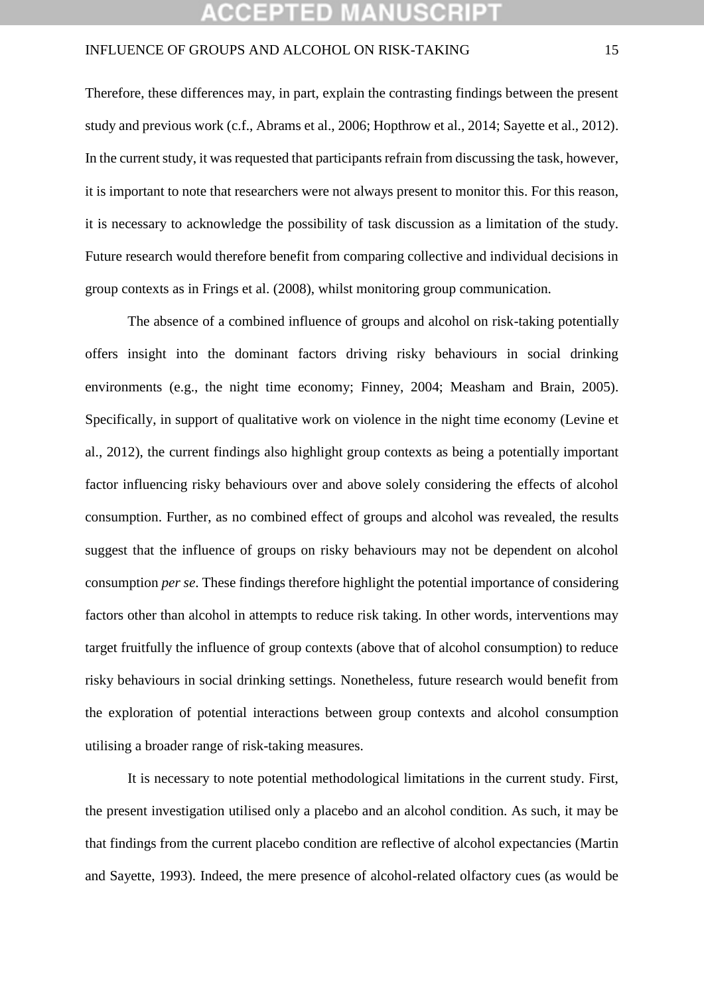## **:CEPTED MANUSCR**

### INFLUENCE OF GROUPS AND ALCOHOL ON RISK-TAKING 15

Therefore, these differences may, in part, explain the contrasting findings between the present study and previous work (c.f., Abrams et al., 2006; Hopthrow et al., 2014; Sayette et al., 2012). In the current study, it was requested that participants refrain from discussing the task, however, it is important to note that researchers were not always present to monitor this. For this reason, it is necessary to acknowledge the possibility of task discussion as a limitation of the study. Future research would therefore benefit from comparing collective and individual decisions in group contexts as in Frings et al. (2008), whilst monitoring group communication.

The absence of a combined influence of groups and alcohol on risk-taking potentially offers insight into the dominant factors driving risky behaviours in social drinking environments (e.g., the night time economy; Finney, 2004; Measham and Brain, 2005). Specifically, in support of qualitative work on violence in the night time economy (Levine et al., 2012), the current findings also highlight group contexts as being a potentially important factor influencing risky behaviours over and above solely considering the effects of alcohol consumption. Further, as no combined effect of groups and alcohol was revealed, the results suggest that the influence of groups on risky behaviours may not be dependent on alcohol consumption *per se*. These findings therefore highlight the potential importance of considering factors other than alcohol in attempts to reduce risk taking. In other words, interventions may target fruitfully the influence of group contexts (above that of alcohol consumption) to reduce risky behaviours in social drinking settings. Nonetheless, future research would benefit from the exploration of potential interactions between group contexts and alcohol consumption utilising a broader range of risk-taking measures.

It is necessary to note potential methodological limitations in the current study. First, the present investigation utilised only a placebo and an alcohol condition. As such, it may be that findings from the current placebo condition are reflective of alcohol expectancies (Martin and Sayette, 1993). Indeed, the mere presence of alcohol-related olfactory cues (as would be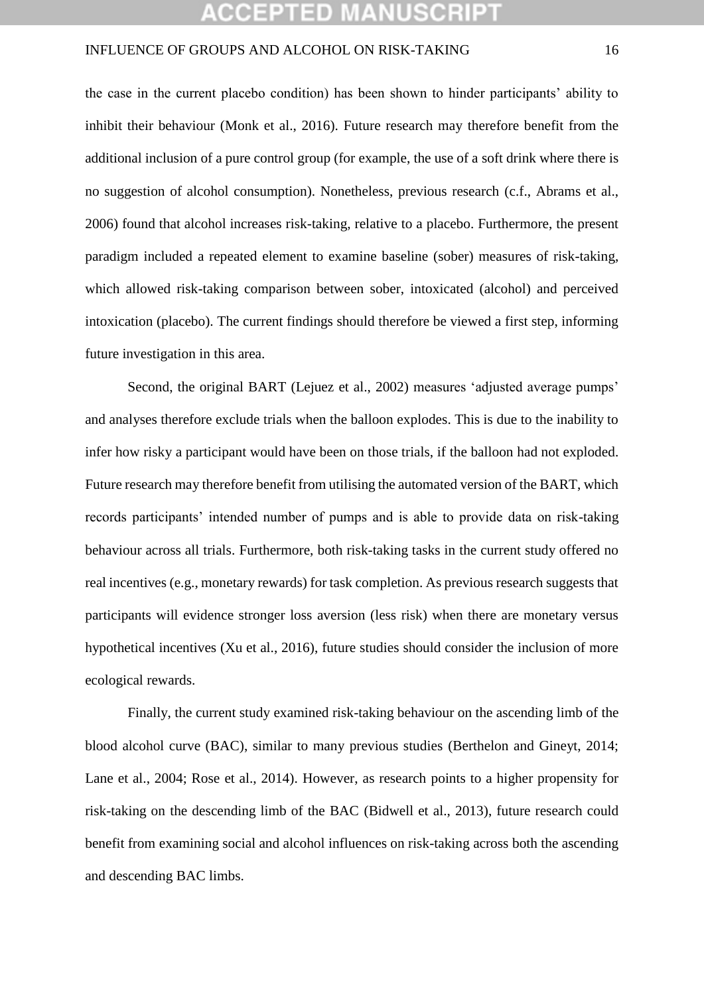## **:CEPTED MANUSCR**

### INFLUENCE OF GROUPS AND ALCOHOL ON RISK-TAKING 16

the case in the current placebo condition) has been shown to hinder participants' ability to inhibit their behaviour (Monk et al., 2016). Future research may therefore benefit from the additional inclusion of a pure control group (for example, the use of a soft drink where there is no suggestion of alcohol consumption). Nonetheless, previous research (c.f., Abrams et al., 2006) found that alcohol increases risk-taking, relative to a placebo. Furthermore, the present paradigm included a repeated element to examine baseline (sober) measures of risk-taking, which allowed risk-taking comparison between sober, intoxicated (alcohol) and perceived intoxication (placebo). The current findings should therefore be viewed a first step, informing future investigation in this area.

Second, the original BART (Lejuez et al., 2002) measures 'adjusted average pumps' and analyses therefore exclude trials when the balloon explodes. This is due to the inability to infer how risky a participant would have been on those trials, if the balloon had not exploded. Future research may therefore benefit from utilising the automated version of the BART, which records participants' intended number of pumps and is able to provide data on risk-taking behaviour across all trials. Furthermore, both risk-taking tasks in the current study offered no real incentives (e.g., monetary rewards) for task completion. As previous research suggests that participants will evidence stronger loss aversion (less risk) when there are monetary versus hypothetical incentives (Xu et al., 2016), future studies should consider the inclusion of more ecological rewards.

Finally, the current study examined risk-taking behaviour on the ascending limb of the blood alcohol curve (BAC), similar to many previous studies (Berthelon and Gineyt, 2014; Lane et al., 2004; Rose et al., 2014). However, as research points to a higher propensity for risk-taking on the descending limb of the BAC (Bidwell et al., 2013), future research could benefit from examining social and alcohol influences on risk-taking across both the ascending and descending BAC limbs.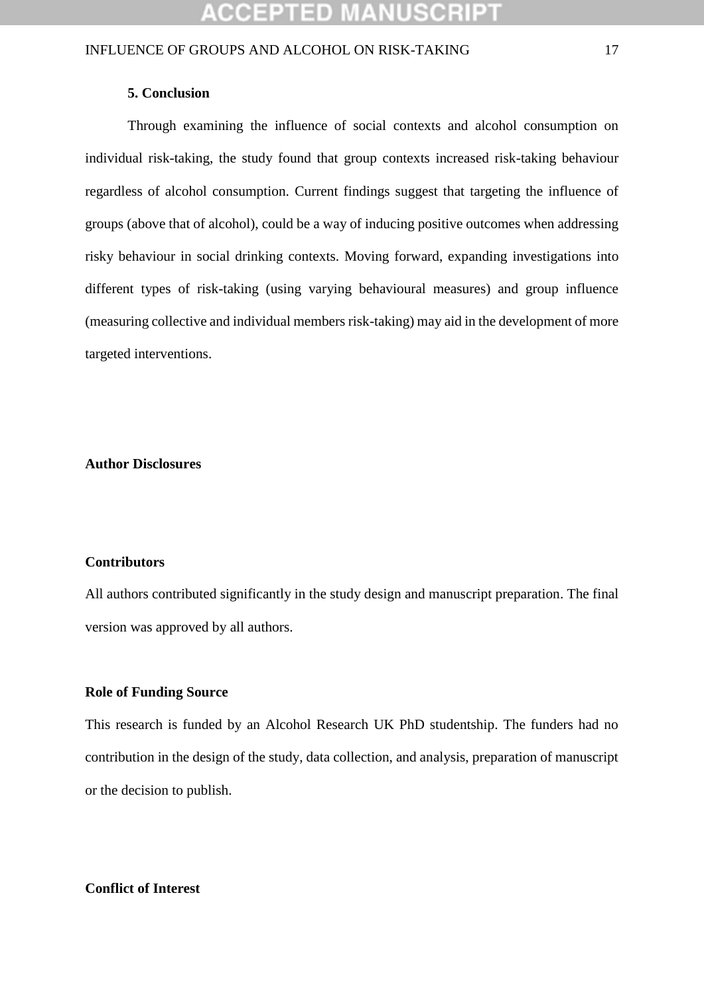### **5. Conclusion**

Through examining the influence of social contexts and alcohol consumption on individual risk-taking, the study found that group contexts increased risk-taking behaviour regardless of alcohol consumption. Current findings suggest that targeting the influence of groups (above that of alcohol), could be a way of inducing positive outcomes when addressing risky behaviour in social drinking contexts. Moving forward, expanding investigations into different types of risk-taking (using varying behavioural measures) and group influence (measuring collective and individual members risk-taking) may aid in the development of more targeted interventions.

### **Author Disclosures**

### **Contributors**

All authors contributed significantly in the study design and manuscript preparation. The final version was approved by all authors.

### **Role of Funding Source**

This research is funded by an Alcohol Research UK PhD studentship. The funders had no contribution in the design of the study, data collection, and analysis, preparation of manuscript or the decision to publish.

### **Conflict of Interest**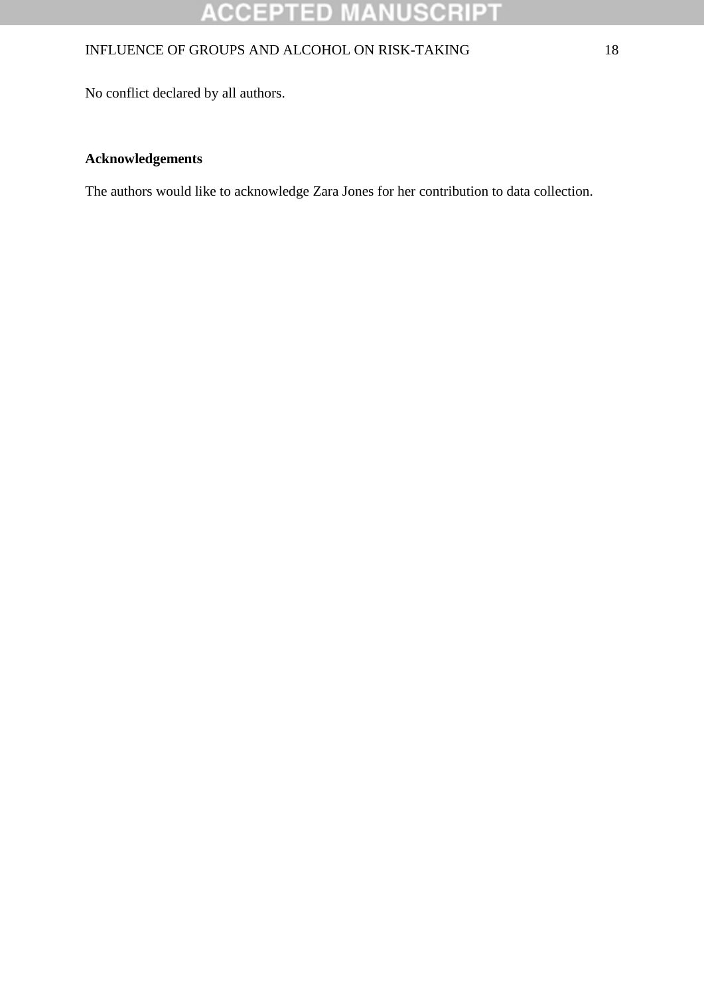# **ACCEPTED MANUSCRIPT**

### INFLUENCE OF GROUPS AND ALCOHOL ON RISK-TAKING 18

No conflict declared by all authors.

### **Acknowledgements**

The authors would like to acknowledge Zara Jones for her contribution to data collection.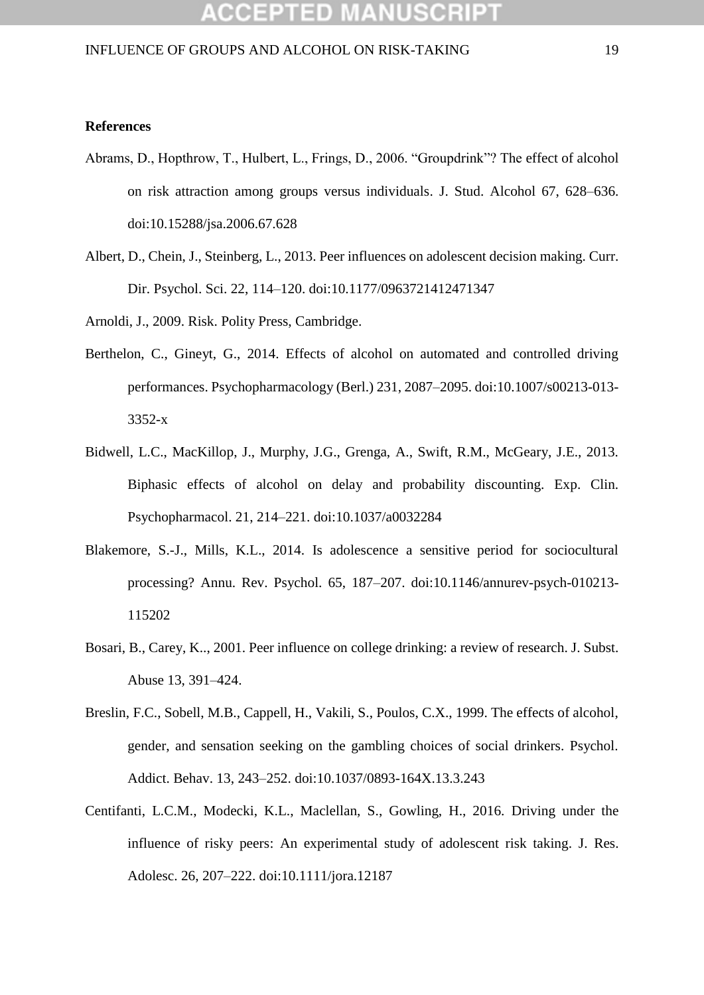## **ACCEPTED MANUSCRIP**

### INFLUENCE OF GROUPS AND ALCOHOL ON RISK-TAKING 19

### **References**

- Abrams, D., Hopthrow, T., Hulbert, L., Frings, D., 2006. "Groupdrink"? The effect of alcohol on risk attraction among groups versus individuals. J. Stud. Alcohol 67, 628–636. doi:10.15288/jsa.2006.67.628
- Albert, D., Chein, J., Steinberg, L., 2013. Peer influences on adolescent decision making. Curr. Dir. Psychol. Sci. 22, 114–120. doi:10.1177/0963721412471347
- Arnoldi, J., 2009. Risk. Polity Press, Cambridge.
- Berthelon, C., Gineyt, G., 2014. Effects of alcohol on automated and controlled driving performances. Psychopharmacology (Berl.) 231, 2087–2095. doi:10.1007/s00213-013- 3352-x
- Bidwell, L.C., MacKillop, J., Murphy, J.G., Grenga, A., Swift, R.M., McGeary, J.E., 2013. Biphasic effects of alcohol on delay and probability discounting. Exp. Clin. Psychopharmacol. 21, 214–221. doi:10.1037/a0032284
- Blakemore, S.-J., Mills, K.L., 2014. Is adolescence a sensitive period for sociocultural processing? Annu. Rev. Psychol. 65, 187–207. doi:10.1146/annurev-psych-010213- 115202
- Bosari, B., Carey, K.., 2001. Peer influence on college drinking: a review of research. J. Subst. Abuse 13, 391–424.
- Breslin, F.C., Sobell, M.B., Cappell, H., Vakili, S., Poulos, C.X., 1999. The effects of alcohol, gender, and sensation seeking on the gambling choices of social drinkers. Psychol. Addict. Behav. 13, 243–252. doi:10.1037/0893-164X.13.3.243
- Centifanti, L.C.M., Modecki, K.L., Maclellan, S., Gowling, H., 2016. Driving under the influence of risky peers: An experimental study of adolescent risk taking. J. Res. Adolesc. 26, 207–222. doi:10.1111/jora.12187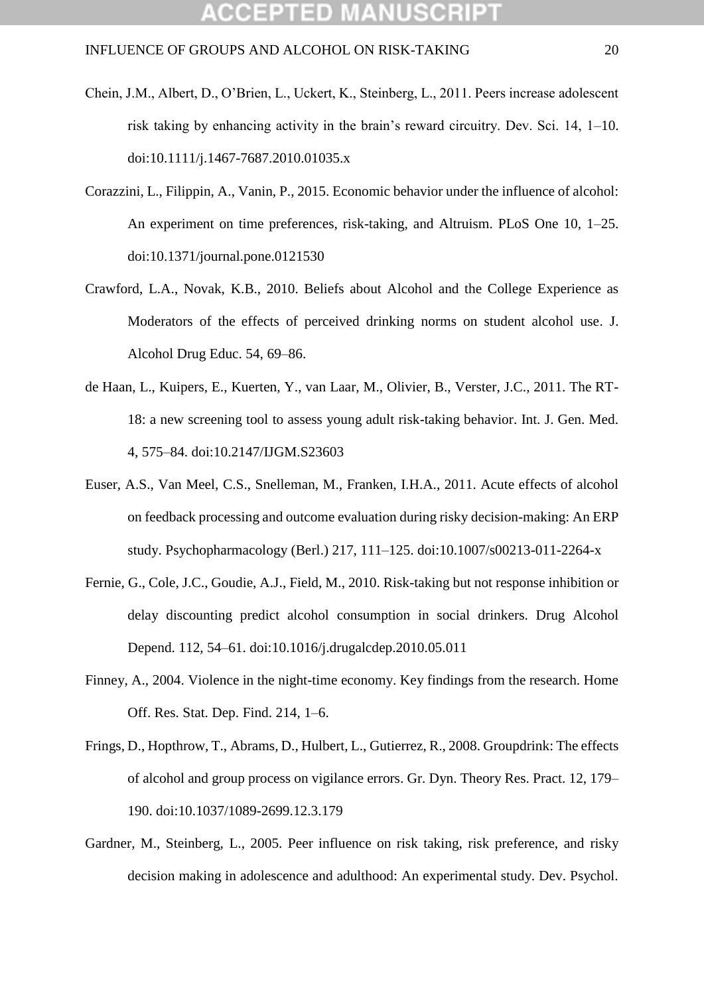- Chein, J.M., Albert, D., O'Brien, L., Uckert, K., Steinberg, L., 2011. Peers increase adolescent risk taking by enhancing activity in the brain's reward circuitry. Dev. Sci. 14, 1–10. doi:10.1111/j.1467-7687.2010.01035.x
- Corazzini, L., Filippin, A., Vanin, P., 2015. Economic behavior under the influence of alcohol: An experiment on time preferences, risk-taking, and Altruism. PLoS One 10, 1–25. doi:10.1371/journal.pone.0121530
- Crawford, L.A., Novak, K.B., 2010. Beliefs about Alcohol and the College Experience as Moderators of the effects of perceived drinking norms on student alcohol use. J. Alcohol Drug Educ. 54, 69–86.
- de Haan, L., Kuipers, E., Kuerten, Y., van Laar, M., Olivier, B., Verster, J.C., 2011. The RT-18: a new screening tool to assess young adult risk-taking behavior. Int. J. Gen. Med. 4, 575–84. doi:10.2147/IJGM.S23603
- Euser, A.S., Van Meel, C.S., Snelleman, M., Franken, I.H.A., 2011. Acute effects of alcohol on feedback processing and outcome evaluation during risky decision-making: An ERP study. Psychopharmacology (Berl.) 217, 111–125. doi:10.1007/s00213-011-2264-x
- Fernie, G., Cole, J.C., Goudie, A.J., Field, M., 2010. Risk-taking but not response inhibition or delay discounting predict alcohol consumption in social drinkers. Drug Alcohol Depend. 112, 54–61. doi:10.1016/j.drugalcdep.2010.05.011
- Finney, A., 2004. Violence in the night-time economy. Key findings from the research. Home Off. Res. Stat. Dep. Find. 214, 1–6.
- Frings, D., Hopthrow, T., Abrams, D., Hulbert, L., Gutierrez, R., 2008. Groupdrink: The effects of alcohol and group process on vigilance errors. Gr. Dyn. Theory Res. Pract. 12, 179– 190. doi:10.1037/1089-2699.12.3.179
- Gardner, M., Steinberg, L., 2005. Peer influence on risk taking, risk preference, and risky decision making in adolescence and adulthood: An experimental study. Dev. Psychol.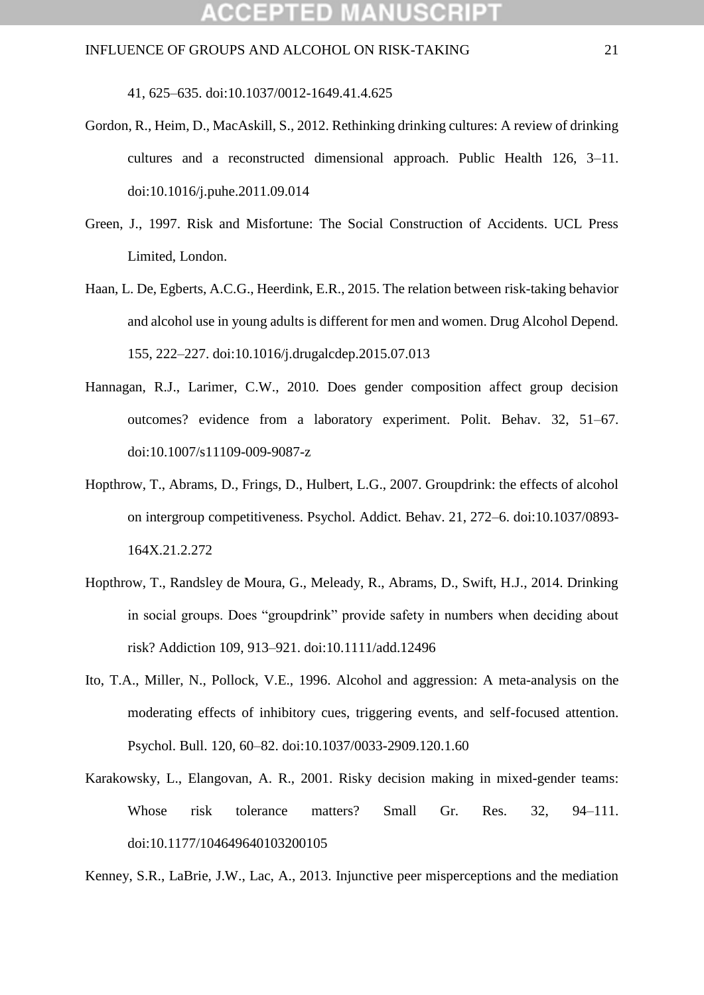41, 625–635. doi:10.1037/0012-1649.41.4.625

- Gordon, R., Heim, D., MacAskill, S., 2012. Rethinking drinking cultures: A review of drinking cultures and a reconstructed dimensional approach. Public Health 126, 3–11. doi:10.1016/j.puhe.2011.09.014
- Green, J., 1997. Risk and Misfortune: The Social Construction of Accidents. UCL Press Limited, London.
- Haan, L. De, Egberts, A.C.G., Heerdink, E.R., 2015. The relation between risk-taking behavior and alcohol use in young adults is different for men and women. Drug Alcohol Depend. 155, 222–227. doi:10.1016/j.drugalcdep.2015.07.013
- Hannagan, R.J., Larimer, C.W., 2010. Does gender composition affect group decision outcomes? evidence from a laboratory experiment. Polit. Behav. 32, 51–67. doi:10.1007/s11109-009-9087-z
- Hopthrow, T., Abrams, D., Frings, D., Hulbert, L.G., 2007. Groupdrink: the effects of alcohol on intergroup competitiveness. Psychol. Addict. Behav. 21, 272–6. doi:10.1037/0893- 164X.21.2.272
- Hopthrow, T., Randsley de Moura, G., Meleady, R., Abrams, D., Swift, H.J., 2014. Drinking in social groups. Does "groupdrink" provide safety in numbers when deciding about risk? Addiction 109, 913–921. doi:10.1111/add.12496
- Ito, T.A., Miller, N., Pollock, V.E., 1996. Alcohol and aggression: A meta-analysis on the moderating effects of inhibitory cues, triggering events, and self-focused attention. Psychol. Bull. 120, 60–82. doi:10.1037/0033-2909.120.1.60
- Karakowsky, L., Elangovan, A. R., 2001. Risky decision making in mixed-gender teams: Whose risk tolerance matters? Small Gr. Res. 32, 94–111. doi:10.1177/104649640103200105

Kenney, S.R., LaBrie, J.W., Lac, A., 2013. Injunctive peer misperceptions and the mediation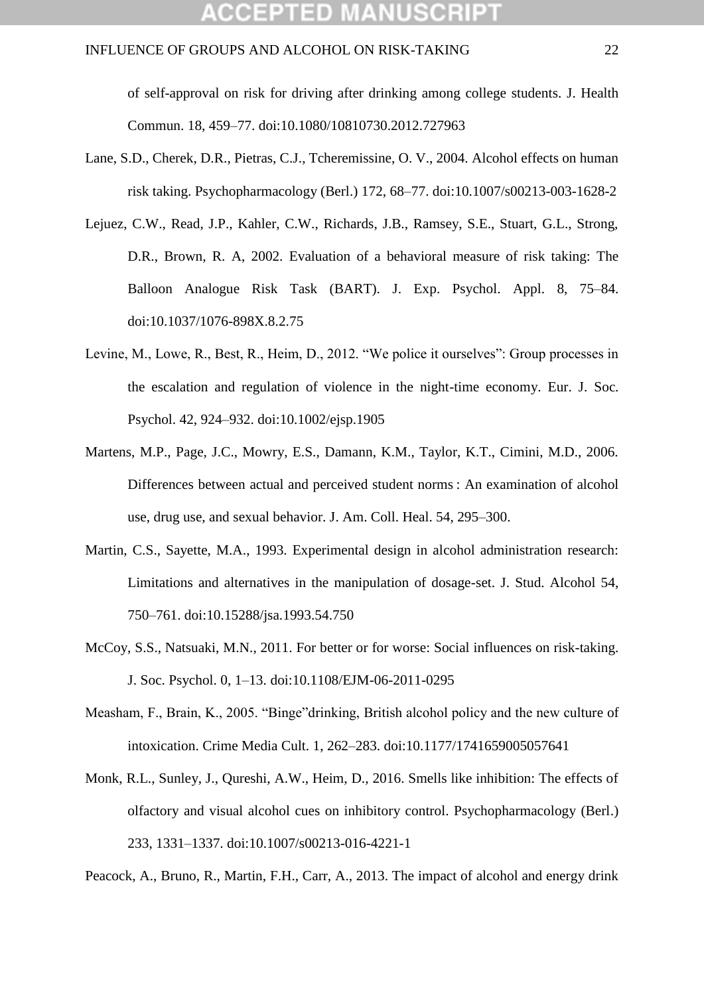### **CCEPTED MANUSCR**I

### INFLUENCE OF GROUPS AND ALCOHOL ON RISK-TAKING 22

of self-approval on risk for driving after drinking among college students. J. Health Commun. 18, 459–77. doi:10.1080/10810730.2012.727963

- Lane, S.D., Cherek, D.R., Pietras, C.J., Tcheremissine, O. V., 2004. Alcohol effects on human risk taking. Psychopharmacology (Berl.) 172, 68–77. doi:10.1007/s00213-003-1628-2
- Lejuez, C.W., Read, J.P., Kahler, C.W., Richards, J.B., Ramsey, S.E., Stuart, G.L., Strong, D.R., Brown, R. A, 2002. Evaluation of a behavioral measure of risk taking: The Balloon Analogue Risk Task (BART). J. Exp. Psychol. Appl. 8, 75–84. doi:10.1037/1076-898X.8.2.75
- Levine, M., Lowe, R., Best, R., Heim, D., 2012. "We police it ourselves": Group processes in the escalation and regulation of violence in the night-time economy. Eur. J. Soc. Psychol. 42, 924–932. doi:10.1002/ejsp.1905
- Martens, M.P., Page, J.C., Mowry, E.S., Damann, K.M., Taylor, K.T., Cimini, M.D., 2006. Differences between actual and perceived student norms : An examination of alcohol use, drug use, and sexual behavior. J. Am. Coll. Heal. 54, 295–300.
- Martin, C.S., Sayette, M.A., 1993. Experimental design in alcohol administration research: Limitations and alternatives in the manipulation of dosage-set. J. Stud. Alcohol 54, 750–761. doi:10.15288/jsa.1993.54.750
- McCoy, S.S., Natsuaki, M.N., 2011. For better or for worse: Social influences on risk-taking. J. Soc. Psychol. 0, 1–13. doi:10.1108/EJM-06-2011-0295
- Measham, F., Brain, K., 2005. "Binge"drinking, British alcohol policy and the new culture of intoxication. Crime Media Cult. 1, 262–283. doi:10.1177/1741659005057641
- Monk, R.L., Sunley, J., Qureshi, A.W., Heim, D., 2016. Smells like inhibition: The effects of olfactory and visual alcohol cues on inhibitory control. Psychopharmacology (Berl.) 233, 1331–1337. doi:10.1007/s00213-016-4221-1

Peacock, A., Bruno, R., Martin, F.H., Carr, A., 2013. The impact of alcohol and energy drink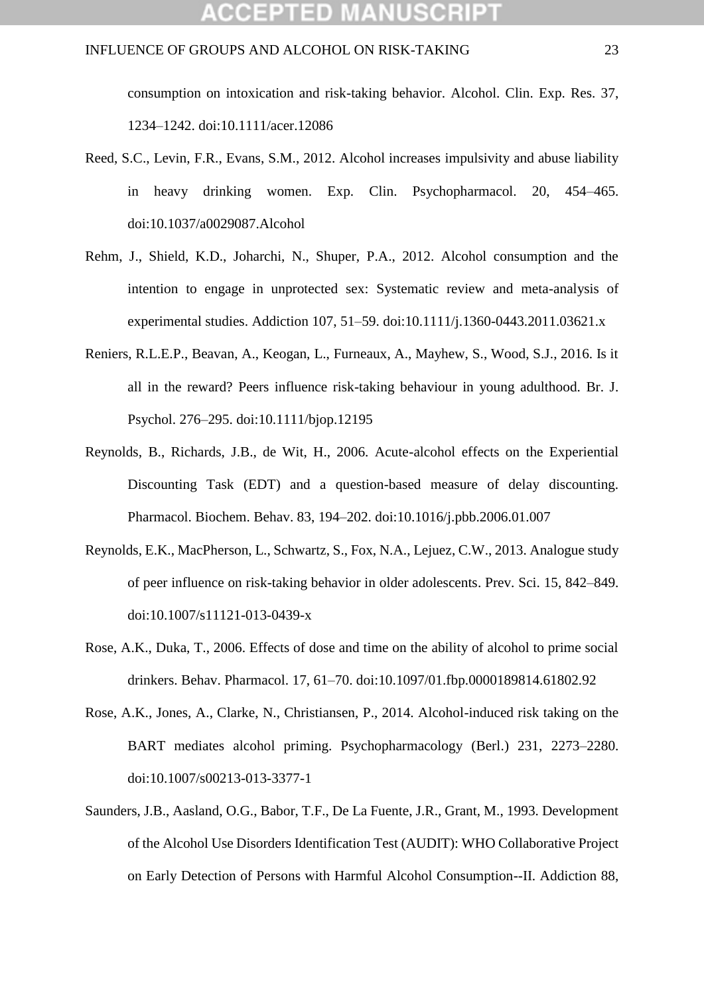consumption on intoxication and risk-taking behavior. Alcohol. Clin. Exp. Res. 37, 1234–1242. doi:10.1111/acer.12086

- Reed, S.C., Levin, F.R., Evans, S.M., 2012. Alcohol increases impulsivity and abuse liability in heavy drinking women. Exp. Clin. Psychopharmacol. 20, 454–465. doi:10.1037/a0029087.Alcohol
- Rehm, J., Shield, K.D., Joharchi, N., Shuper, P.A., 2012. Alcohol consumption and the intention to engage in unprotected sex: Systematic review and meta-analysis of experimental studies. Addiction 107, 51–59. doi:10.1111/j.1360-0443.2011.03621.x
- Reniers, R.L.E.P., Beavan, A., Keogan, L., Furneaux, A., Mayhew, S., Wood, S.J., 2016. Is it all in the reward? Peers influence risk-taking behaviour in young adulthood. Br. J. Psychol. 276–295. doi:10.1111/bjop.12195
- Reynolds, B., Richards, J.B., de Wit, H., 2006. Acute-alcohol effects on the Experiential Discounting Task (EDT) and a question-based measure of delay discounting. Pharmacol. Biochem. Behav. 83, 194–202. doi:10.1016/j.pbb.2006.01.007
- Reynolds, E.K., MacPherson, L., Schwartz, S., Fox, N.A., Lejuez, C.W., 2013. Analogue study of peer influence on risk-taking behavior in older adolescents. Prev. Sci. 15, 842–849. doi:10.1007/s11121-013-0439-x
- Rose, A.K., Duka, T., 2006. Effects of dose and time on the ability of alcohol to prime social drinkers. Behav. Pharmacol. 17, 61–70. doi:10.1097/01.fbp.0000189814.61802.92
- Rose, A.K., Jones, A., Clarke, N., Christiansen, P., 2014. Alcohol-induced risk taking on the BART mediates alcohol priming. Psychopharmacology (Berl.) 231, 2273–2280. doi:10.1007/s00213-013-3377-1
- Saunders, J.B., Aasland, O.G., Babor, T.F., De La Fuente, J.R., Grant, M., 1993. Development of the Alcohol Use Disorders Identification Test (AUDIT): WHO Collaborative Project on Early Detection of Persons with Harmful Alcohol Consumption--II. Addiction 88,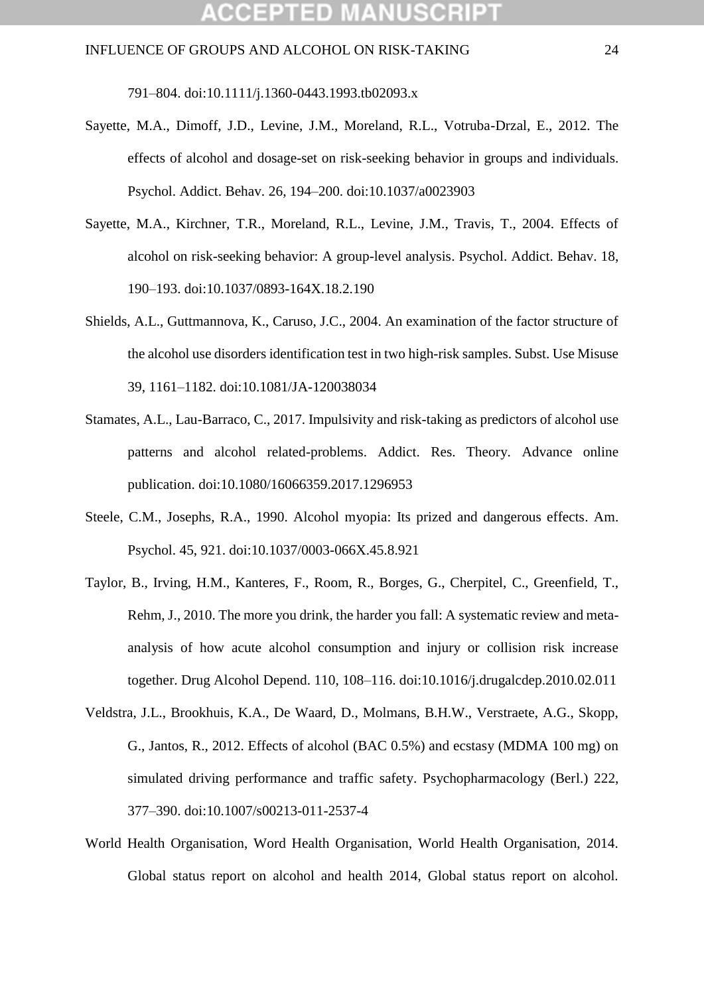791–804. doi:10.1111/j.1360-0443.1993.tb02093.x

- Sayette, M.A., Dimoff, J.D., Levine, J.M., Moreland, R.L., Votruba-Drzal, E., 2012. The effects of alcohol and dosage-set on risk-seeking behavior in groups and individuals. Psychol. Addict. Behav. 26, 194–200. doi:10.1037/a0023903
- Sayette, M.A., Kirchner, T.R., Moreland, R.L., Levine, J.M., Travis, T., 2004. Effects of alcohol on risk-seeking behavior: A group-level analysis. Psychol. Addict. Behav. 18, 190–193. doi:10.1037/0893-164X.18.2.190
- Shields, A.L., Guttmannova, K., Caruso, J.C., 2004. An examination of the factor structure of the alcohol use disorders identification test in two high-risk samples. Subst. Use Misuse 39, 1161–1182. doi:10.1081/JA-120038034
- Stamates, A.L., Lau-Barraco, C., 2017. Impulsivity and risk-taking as predictors of alcohol use patterns and alcohol related-problems. Addict. Res. Theory. Advance online publication. doi:10.1080/16066359.2017.1296953
- Steele, C.M., Josephs, R.A., 1990. Alcohol myopia: Its prized and dangerous effects. Am. Psychol. 45, 921. doi:10.1037/0003-066X.45.8.921
- Taylor, B., Irving, H.M., Kanteres, F., Room, R., Borges, G., Cherpitel, C., Greenfield, T., Rehm, J., 2010. The more you drink, the harder you fall: A systematic review and metaanalysis of how acute alcohol consumption and injury or collision risk increase together. Drug Alcohol Depend. 110, 108–116. doi:10.1016/j.drugalcdep.2010.02.011
- Veldstra, J.L., Brookhuis, K.A., De Waard, D., Molmans, B.H.W., Verstraete, A.G., Skopp, G., Jantos, R., 2012. Effects of alcohol (BAC 0.5%) and ecstasy (MDMA 100 mg) on simulated driving performance and traffic safety. Psychopharmacology (Berl.) 222, 377–390. doi:10.1007/s00213-011-2537-4
- World Health Organisation, Word Health Organisation, World Health Organisation, 2014. Global status report on alcohol and health 2014, Global status report on alcohol.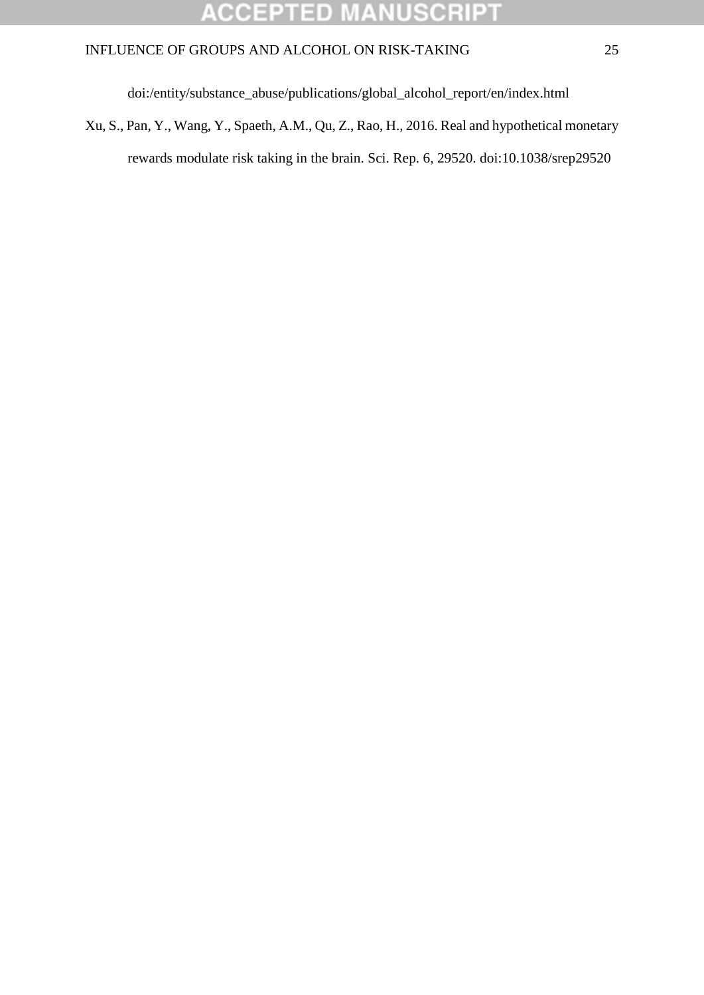#### **ACCEPTED** MANUSCRI  $\mathbf{P}$

### INFLUENCE OF GROUPS AND ALCOHOL ON RISK-TAKING 25

doi:/entity/substance\_abuse/publications/global\_alcohol\_report/en/index.html

Xu, S., Pan, Y., Wang, Y., Spaeth, A.M., Qu, Z., Rao, H., 2016. Real and hypothetical monetary rewards modulate risk taking in the brain. Sci. Rep. 6, 29520. doi:10.1038/srep29520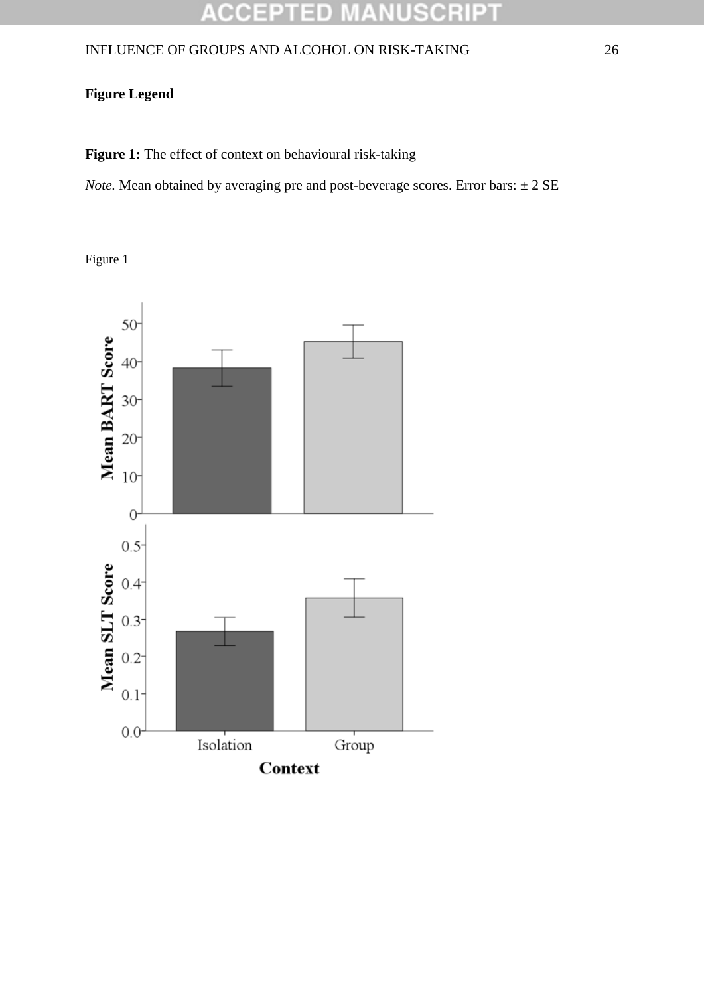#### **ACCEPTED** USCRIPT a,

### INFLUENCE OF GROUPS AND ALCOHOL ON RISK-TAKING 26

### **Figure Legend**

Figure 1: The effect of context on behavioural risk-taking

*Note.* Mean obtained by averaging pre and post-beverage scores. Error bars:  $\pm 2$  SE

Figure 1